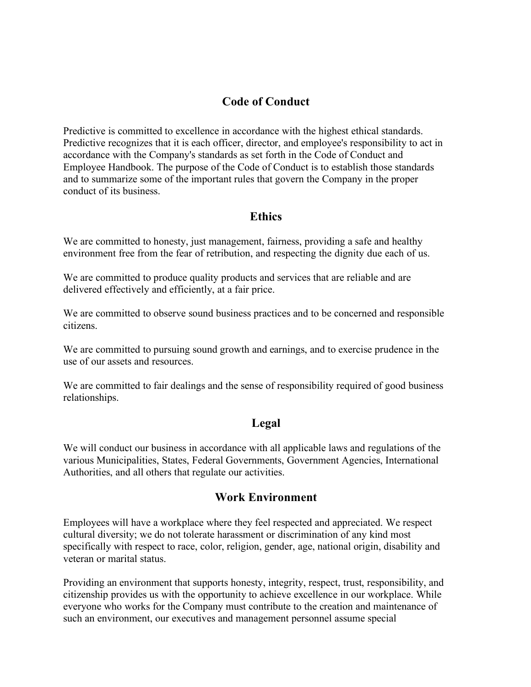# **Code of Conduct**

Predictive is committed to excellence in accordance with the highest ethical standards. Predictive recognizes that it is each officer, director, and employee's responsibility to act in accordance with the Company's standards as set forth in the Code of Conduct and Employee Handbook. The purpose of the Code of Conduct is to establish those standards and to summarize some of the important rules that govern the Company in the proper conduct of its business.

### **Ethics**

We are committed to honesty, just management, fairness, providing a safe and healthy environment free from the fear of retribution, and respecting the dignity due each of us.

We are committed to produce quality products and services that are reliable and are delivered effectively and efficiently, at a fair price.

We are committed to observe sound business practices and to be concerned and responsible citizens.

We are committed to pursuing sound growth and earnings, and to exercise prudence in the use of our assets and resources.

We are committed to fair dealings and the sense of responsibility required of good business relationships.

### **Legal**

We will conduct our business in accordance with all applicable laws and regulations of the various Municipalities, States, Federal Governments, Government Agencies, International Authorities, and all others that regulate our activities.

### **Work Environment**

Employees will have a workplace where they feel respected and appreciated. We respect cultural diversity; we do not tolerate harassment or discrimination of any kind most specifically with respect to race, color, religion, gender, age, national origin, disability and veteran or marital status.

Providing an environment that supports honesty, integrity, respect, trust, responsibility, and citizenship provides us with the opportunity to achieve excellence in our workplace. While everyone who works for the Company must contribute to the creation and maintenance of such an environment, our executives and management personnel assume special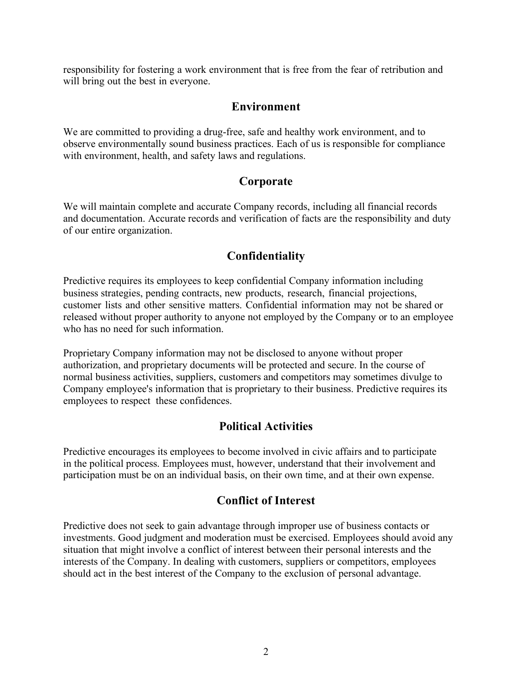responsibility for fostering a work environment that is free from the fear of retribution and will bring out the best in everyone.

## **Environment**

We are committed to providing a drug-free, safe and healthy work environment, and to observe environmentally sound business practices. Each of us is responsible for compliance with environment, health, and safety laws and regulations.

## **Corporate**

We will maintain complete and accurate Company records, including all financial records and documentation. Accurate records and verification of facts are the responsibility and duty of our entire organization.

# **Confidentiality**

Predictive requires its employees to keep confidential Company information including business strategies, pending contracts, new products, research, financial projections, customer lists and other sensitive matters. Confidential information may not be shared or released without proper authority to anyone not employed by the Company or to an employee who has no need for such information.

Proprietary Company information may not be disclosed to anyone without proper authorization, and proprietary documents will be protected and secure. In the course of normal business activities, suppliers, customers and competitors may sometimes divulge to Company employee's information that is proprietary to their business. Predictive requires its employees to respect these confidences.

# **Political Activities**

Predictive encourages its employees to become involved in civic affairs and to participate in the political process. Employees must, however, understand that their involvement and participation must be on an individual basis, on their own time, and at their own expense.

# **Conflict of Interest**

Predictive does not seek to gain advantage through improper use of business contacts or investments. Good judgment and moderation must be exercised. Employees should avoid any situation that might involve a conflict of interest between their personal interests and the interests of the Company. In dealing with customers, suppliers or competitors, employees should act in the best interest of the Company to the exclusion of personal advantage.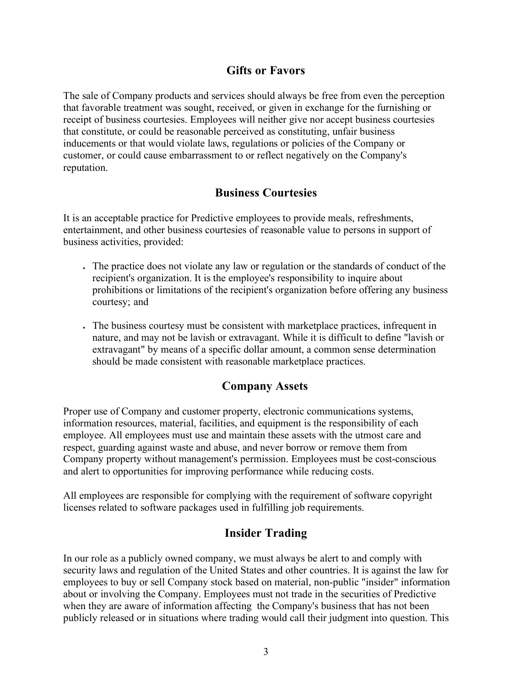## **Gifts or Favors**

The sale of Company products and services should always be free from even the perception that favorable treatment was sought, received, or given in exchange for the furnishing or receipt of business courtesies. Employees will neither give nor accept business courtesies that constitute, or could be reasonable perceived as constituting, unfair business inducements or that would violate laws, regulations or policies of the Company or customer, or could cause embarrassment to or reflect negatively on the Company's reputation.

## **Business Courtesies**

It is an acceptable practice for Predictive employees to provide meals, refreshments, entertainment, and other business courtesies of reasonable value to persons in support of business activities, provided:

- . The practice does not violate any law or regulation or the standards of conduct of the recipient's organization. It is the employee's responsibility to inquire about prohibitions or limitations of the recipient's organization before offering any business courtesy; and
- The business courtesy must be consistent with marketplace practices, infrequent in nature, and may not be lavish or extravagant. While it is difficult to define "lavish or extravagant" by means of a specific dollar amount, a common sense determination should be made consistent with reasonable marketplace practices.

## **Company Assets**

Proper use of Company and customer property, electronic communications systems, information resources, material, facilities, and equipment is the responsibility of each employee. All employees must use and maintain these assets with the utmost care and respect, guarding against waste and abuse, and never borrow or remove them from Company property without management's permission. Employees must be cost-conscious and alert to opportunities for improving performance while reducing costs.

All employees are responsible for complying with the requirement of software copyright licenses related to software packages used in fulfilling job requirements.

## **Insider Trading**

In our role as a publicly owned company, we must always be alert to and comply with security laws and regulation of the United States and other countries. It is against the law for employees to buy or sell Company stock based on material, non-public "insider" information about or involving the Company. Employees must not trade in the securities of Predictive when they are aware of information affecting the Company's business that has not been publicly released or in situations where trading would call their judgment into question. This